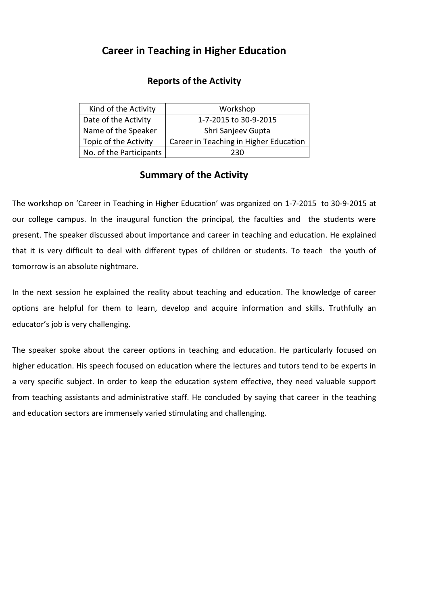## **Career in Teaching in Higher Education**

## **Reports of the Activity**

| Kind of the Activity    | Workshop                               |
|-------------------------|----------------------------------------|
| Date of the Activity    | 1-7-2015 to 30-9-2015                  |
| Name of the Speaker     | Shri Sanjeev Gupta                     |
| Topic of the Activity   | Career in Teaching in Higher Education |
| No. of the Participants | 230                                    |

## **Summary of the Activity**

The workshop on 'Career in Teaching in Higher Education' was organized on 1-7-2015 to 30-9-2015 at our college campus. In the inaugural function the principal, the faculties and the students were present. The speaker discussed about importance and career in teaching and education. He explained that it is very difficult to deal with different types of children or students. To teach the youth of tomorrow is an absolute nightmare.

In the next session he explained the reality about teaching and education. The knowledge of career options are helpful for them to learn, develop and acquire information and skills. Truthfully an educator's job is very challenging.

The speaker spoke about the career options in teaching and education. He particularly focused on higher education. His speech focused on education where the lectures and tutors tend to be experts in a very specific subject. In order to keep the education system effective, they need valuable support from teaching assistants and administrative staff. He concluded by saying that career in the teaching and education sectors are immensely varied stimulating and challenging.